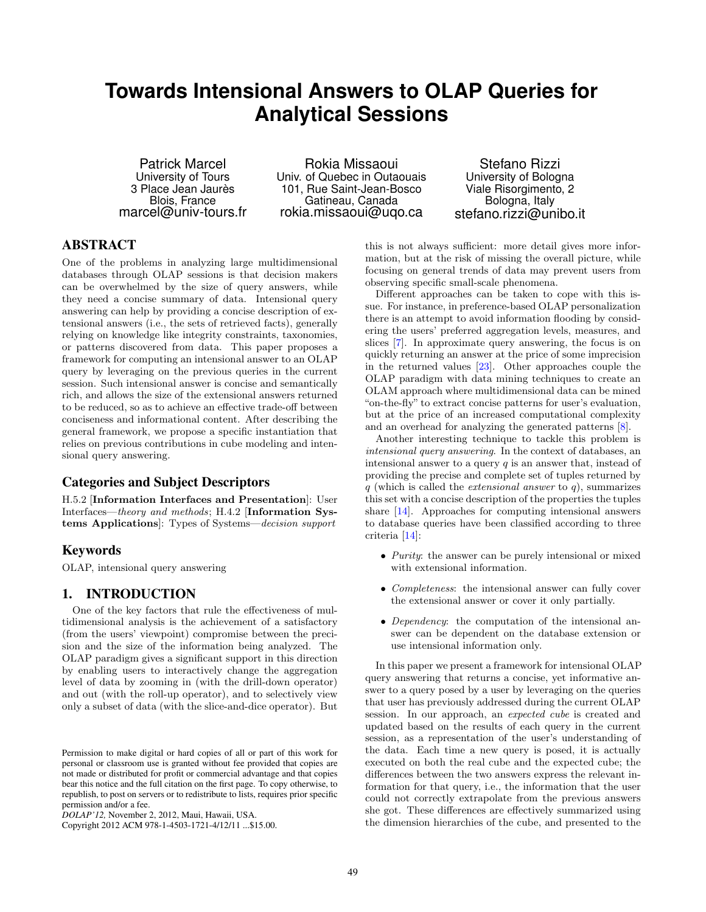# **Towards Intensional Answers to OLAP Queries for Analytical Sessions**

Patrick Marcel University of Tours 3 Place Jean Jaurès Blois, France marcel@univ-tours.fr

Rokia Missaoui Univ. of Quebec in Outaouais 101, Rue Saint-Jean-Bosco Gatineau, Canada rokia.missaoui@uqo.ca

Stefano Rizzi University of Bologna Viale Risorgimento, 2 Bologna, Italy stefano.rizzi@unibo.it

# ABSTRACT

One of the problems in analyzing large multidimensional databases through OLAP sessions is that decision makers can be overwhelmed by the size of query answers, while they need a concise summary of data. Intensional query answering can help by providing a concise description of extensional answers (i.e., the sets of retrieved facts), generally relying on knowledge like integrity constraints, taxonomies, or patterns discovered from data. This paper proposes a framework for computing an intensional answer to an OLAP query by leveraging on the previous queries in the current session. Such intensional answer is concise and semantically rich, and allows the size of the extensional answers returned to be reduced, so as to achieve an effective trade-off between conciseness and informational content. After describing the general framework, we propose a specific instantiation that relies on previous contributions in cube modeling and intensional query answering.

# Categories and Subject Descriptors

H.5.2 [Information Interfaces and Presentation]: User Interfaces—theory and methods; H.4.2 [Information Systems Applications]: Types of Systems—decision support

## Keywords

OLAP, intensional query answering

## 1. INTRODUCTION

One of the key factors that rule the effectiveness of multidimensional analysis is the achievement of a satisfactory (from the users' viewpoint) compromise between the precision and the size of the information being analyzed. The OLAP paradigm gives a significant support in this direction by enabling users to interactively change the aggregation level of data by zooming in (with the drill-down operator) and out (with the roll-up operator), and to selectively view only a subset of data (with the slice-and-dice operator). But

Copyright 2012 ACM 978-1-4503-1721-4/12/11 ...\$15.00.

this is not always sufficient: more detail gives more information, but at the risk of missing the overall picture, while focusing on general trends of data may prevent users from observing specific small-scale phenomena.

Different approaches can be taken to cope with this issue. For instance, in preference-based OLAP personalization there is an attempt to avoid information flooding by considering the users' preferred aggregation levels, measures, and slices [\[7\]](#page-7-0). In approximate query answering, the focus is on quickly returning an answer at the price of some imprecision in the returned values [\[23\]](#page-7-1). Other approaches couple the OLAP paradigm with data mining techniques to create an OLAM approach where multidimensional data can be mined "on-the-fly" to extract concise patterns for user's evaluation, but at the price of an increased computational complexity and an overhead for analyzing the generated patterns [\[8\]](#page-7-2).

Another interesting technique to tackle this problem is intensional query answering. In the context of databases, an intensional answer to a query  $q$  is an answer that, instead of providing the precise and complete set of tuples returned by  $q$  (which is called the *extensional answer* to  $q$ ), summarizes this set with a concise description of the properties the tuples share [\[14\]](#page-7-3). Approaches for computing intensional answers to database queries have been classified according to three criteria [\[14\]](#page-7-3):

- *Purity*: the answer can be purely intensional or mixed with extensional information.
- Completeness: the intensional answer can fully cover the extensional answer or cover it only partially.
- Dependency: the computation of the intensional answer can be dependent on the database extension or use intensional information only.

In this paper we present a framework for intensional OLAP query answering that returns a concise, yet informative answer to a query posed by a user by leveraging on the queries that user has previously addressed during the current OLAP session. In our approach, an expected cube is created and updated based on the results of each query in the current session, as a representation of the user's understanding of the data. Each time a new query is posed, it is actually executed on both the real cube and the expected cube; the differences between the two answers express the relevant information for that query, i.e., the information that the user could not correctly extrapolate from the previous answers she got. These differences are effectively summarized using the dimension hierarchies of the cube, and presented to the

Permission to make digital or hard copies of all or part of this work for personal or classroom use is granted without fee provided that copies are not made or distributed for profit or commercial advantage and that copies bear this notice and the full citation on the first page. To copy otherwise, to republish, to post on servers or to redistribute to lists, requires prior specific permission and/or a fee.

*DOLAP'12,* November 2, 2012, Maui, Hawaii, USA.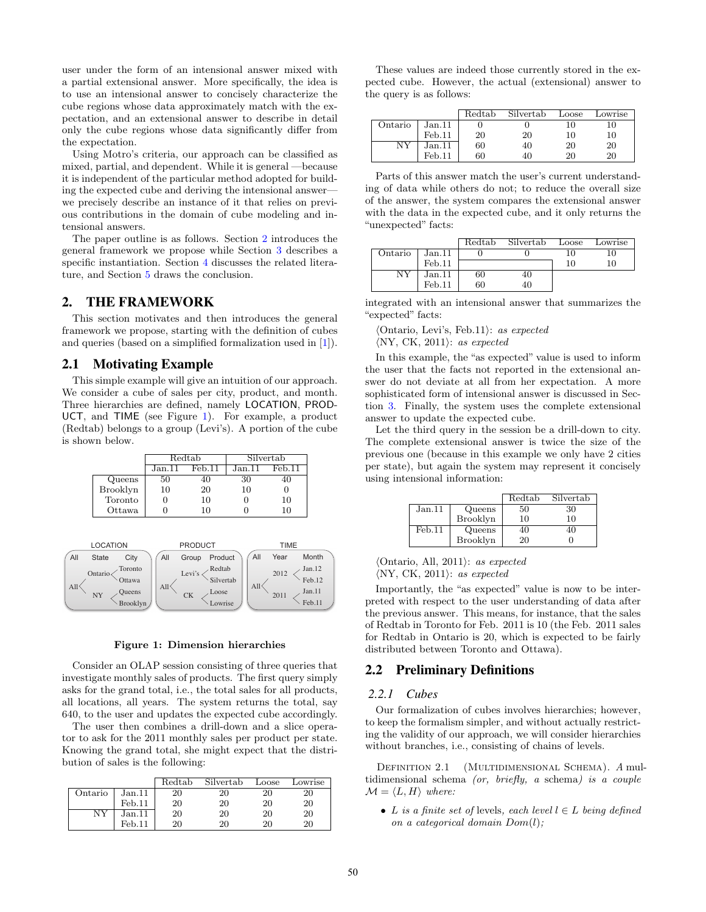user under the form of an intensional answer mixed with a partial extensional answer. More specifically, the idea is to use an intensional answer to concisely characterize the cube regions whose data approximately match with the expectation, and an extensional answer to describe in detail only the cube regions whose data significantly differ from the expectation.

Using Motro's criteria, our approach can be classified as mixed, partial, and dependent. While it is general —because it is independent of the particular method adopted for building the expected cube and deriving the intensional answer we precisely describe an instance of it that relies on previous contributions in the domain of cube modeling and intensional answers.

The paper outline is as follows. Section [2](#page-1-0) introduces the general framework we propose while Section [3](#page-3-0) describes a specific instantiation. Section [4](#page-6-0) discusses the related literature, and Section [5](#page-7-4) draws the conclusion.

#### <span id="page-1-0"></span>2. THE FRAMEWORK

This section motivates and then introduces the general framework we propose, starting with the definition of cubes and queries (based on a simplified formalization used in [\[1\]](#page-7-5)).

### <span id="page-1-2"></span>2.1 Motivating Example

This simple example will give an intuition of our approach. We consider a cube of sales per city, product, and month. Three hierarchies are defined, namely LOCATION, PROD-UCT, and TIME (see Figure [1\)](#page-1-1). For example, a product (Redtab) belongs to a group (Levi's). A portion of the cube is shown below.

|          | $\operatorname{Redtab}$ |        | Silvertab |        |
|----------|-------------------------|--------|-----------|--------|
|          | Jan.11                  | Feb.11 | Jan.11    | Feb.11 |
| Queens   | 50                      | 40     | 30        |        |
| Brooklyn | 10                      | 20     | 10        |        |
| Toronto  |                         | 10     |           | 10     |
| Ottawa   |                         | 10     |           |        |



#### <span id="page-1-1"></span>Figure 1: Dimension hierarchies

Consider an OLAP session consisting of three queries that investigate monthly sales of products. The first query simply asks for the grand total, i.e., the total sales for all products, all locations, all years. The system returns the total, say 640, to the user and updates the expected cube accordingly.

The user then combines a drill-down and a slice operator to ask for the 2011 monthly sales per product per state. Knowing the grand total, she might expect that the distribution of sales is the following:

|         |        | Redtab | Silvertab | Loose | Lowrise |
|---------|--------|--------|-----------|-------|---------|
| Ontario | Jan.11 | 20     | 20        | 20    | 20      |
|         | Feb.11 | 20     | 20        | 20    | 20      |
| ΝY      | Jan.11 | 20     | 20        | 20    | 20      |
|         | Feb.11 | 20     | 20        | 20    | 20      |

These values are indeed those currently stored in the expected cube. However, the actual (extensional) answer to the query is as follows:

|         |        | Redtab | Silvertab | Loose | Lowrise |
|---------|--------|--------|-----------|-------|---------|
| Ontario | Jan.11 |        |           |       |         |
|         | Feb.11 | 20     | 20        | 10    | 10      |
|         | Jan.11 | 60     | 40        | 20    | 20      |
|         | Feb.11 | 60     | 40        | 20    | 20      |

Parts of this answer match the user's current understanding of data while others do not; to reduce the overall size of the answer, the system compares the extensional answer with the data in the expected cube, and it only returns the "unexpected" facts:

|         |        | Redtab | Silvertab | Loose | Lowrise |
|---------|--------|--------|-----------|-------|---------|
| Ontario | Jan.11 |        |           | 10    |         |
|         | Feb.11 |        |           | 10    | $10\,$  |
| ΝY      | Jan.11 | 60     | 40        |       |         |
|         | Feb.11 | 60     | 40        |       |         |

integrated with an intensional answer that summarizes the "expected" facts:

 $\langle$ Ontario, Levi's, Feb.11 $\rangle$ : as expected

 $\langle$ NY, CK, 2011 $\rangle$ : as expected

In this example, the "as expected" value is used to inform the user that the facts not reported in the extensional answer do not deviate at all from her expectation. A more sophisticated form of intensional answer is discussed in Section [3.](#page-3-0) Finally, the system uses the complete extensional answer to update the expected cube.

Let the third query in the session be a drill-down to city. The complete extensional answer is twice the size of the previous one (because in this example we only have 2 cities per state), but again the system may represent it concisely using intensional information:

|        |          | Redtab | Silvertab |
|--------|----------|--------|-----------|
| Jan.11 | Queens   | 50     | 30        |
|        | Brooklyn | 10     | 10        |
| Feb.11 | Queens   | 40     | 40        |
|        | Brooklyn | 20     |           |

 $\langle$ Ontario, All, 2011 $\rangle$ : *as expected*  $\langle$ NY, CK, 2011 $\rangle$ : as expected

Importantly, the "as expected" value is now to be interpreted with respect to the user understanding of data after the previous answer. This means, for instance, that the sales of Redtab in Toronto for Feb. 2011 is 10 (the Feb. 2011 sales for Redtab in Ontario is 20, which is expected to be fairly distributed between Toronto and Ottawa).

### 2.2 Preliminary Definitions

#### *2.2.1 Cubes*

Our formalization of cubes involves hierarchies; however, to keep the formalism simpler, and without actually restricting the validity of our approach, we will consider hierarchies without branches, i.e., consisting of chains of levels.

DEFINITION 2.1 (MULTIDIMENSIONAL SCHEMA). A multidimensional schema (or, briefly, a schema) is a couple  $\mathcal{M} = \langle L, H \rangle$  where:

• L is a finite set of levels, each level  $l \in L$  being defined on a categorical domain  $Dom(l);$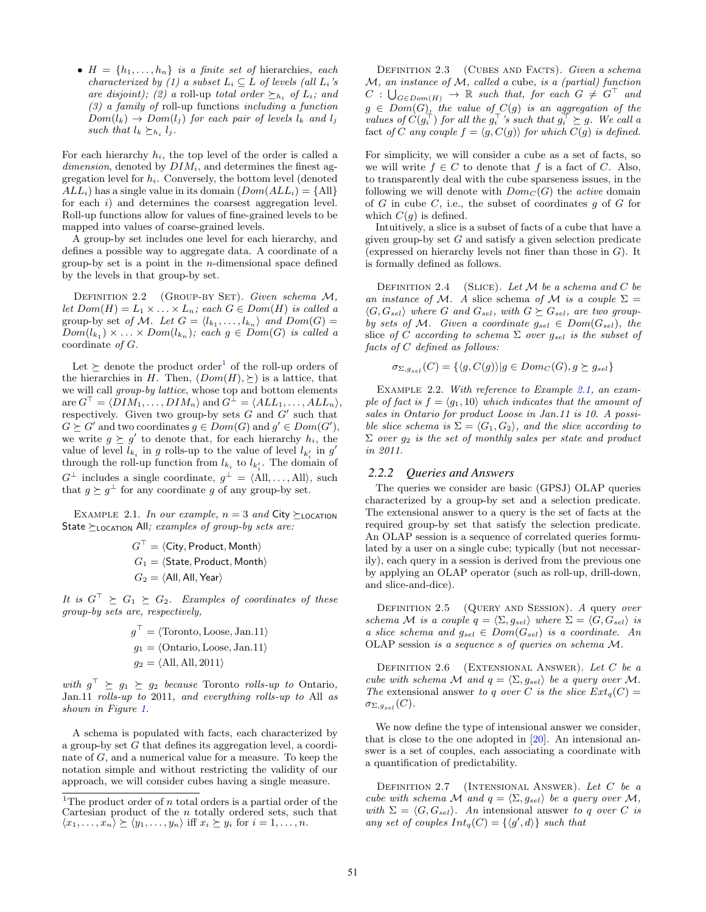•  $H = \{h_1, \ldots, h_n\}$  is a finite set of hierarchies, each characterized by (1) a subset  $L_i \subseteq L$  of levels (all  $L_i$ 's are disjoint); (2) a roll-up total order  $\succeq_{h_i}$  of  $L_i$ ; and (3) a family of roll-up functions including a function  $Dom(l_k) \rightarrow Dom(l_j)$  for each pair of levels  $l_k$  and  $l_j$ such that  $l_k \succeq_{h_i} l_j$ .

For each hierarchy  $h_i$ , the top level of the order is called a dimension, denoted by  $DIM_i$ , and determines the finest aggregation level for  $h_i$ . Conversely, the bottom level (denoted  $ALL<sub>i</sub>$ ) has a single value in its domain  $(Dom(ALL<sub>i</sub>) = \{All\}$ for each i) and determines the coarsest aggregation level. Roll-up functions allow for values of fine-grained levels to be mapped into values of coarse-grained levels.

A group-by set includes one level for each hierarchy, and defines a possible way to aggregate data. A coordinate of a group-by set is a point in the  $n$ -dimensional space defined by the levels in that group-by set.

DEFINITION 2.2 (GROUP-BY SET). Given schema M, let  $Dom(H) = L_1 \times ... \times L_n$ ; each  $G \in Dom(H)$  is called a group-by set of M. Let  $G = \langle l_{k_1}, \ldots, l_{k_n} \rangle$  and  $Dom(G)$  $Dom(l_{k_1}) \times ... \times Dom(l_{k_n})$ ; each  $g \in Dom(G)$  is called a coordinate  $\mathit{of}\;G.$ 

Let  $\succeq$  denote the product order<sup>[1](#page-2-0)</sup> of the roll-up orders of the hierarchies in H. Then,  $(Dom(H), \geq)$  is a lattice, that we will call group-by lattice, whose top and bottom elements  $\text{are } G^{\top} = \langle DIM_1, \ldots, DIM_n \rangle \text{ and } G^{\perp} = \langle ALL_1, \ldots, ALL_n \rangle,$ respectively. Given two group-by sets  $G$  and  $G'$  such that  $G \succeq G'$  and two coordinates  $g \in Dom(G)$  and  $g' \in Dom(G')$ , we write  $g \succeq g'$  to denote that, for each hierarchy  $h_i$ , the value of level  $l_{k_i}$  in g rolls-up to the value of level  $l_{k_i}$  in g' through the roll-up function from  $l_{k_i}$  to  $l_{k'_i}$ . The domain of  $G^{\perp}$  includes a single coordinate,  $g^{\perp} = \langle \text{All}, \dots, \text{All} \rangle$ , such that  $g \succeq g^{\perp}$  for any coordinate g of any group-by set.

<span id="page-2-1"></span>EXAMPLE 2.1. In our example,  $n = 3$  and City  $\succeq$  LOCATION State  $\succeq$ <sub>LOCATION</sub> All; examples of group-by sets are:

$$
G^{\top} = \langle \text{City}, \text{Product}, \text{Month} \rangle
$$

$$
G_1 = \langle \text{State}, \text{Product}, \text{Month} \rangle
$$

$$
G_2 = \langle \text{All}, \text{All}, \text{Year} \rangle
$$

It is  $G^{\top} \succeq G_1 \succeq G_2$ . Examples of coordinates of these group-by sets are, respectively,

$$
g^{\top} = \langle \text{ Toronto, Loose, Jan.11} \rangle
$$

$$
g_1 = \langle \text{Ontario, Loose, Jan.11} \rangle
$$

$$
g_2 = \langle \text{All, All, 2011} \rangle
$$

with  $g^{\top} \succeq g_1 \succeq g_2$  because Toronto rolls-up to Ontario, Jan.11 rolls-up to 2011, and everything rolls-up to All as shown in Figure [1.](#page-1-1)

A schema is populated with facts, each characterized by a group-by set G that defines its aggregation level, a coordinate of G, and a numerical value for a measure. To keep the notation simple and without restricting the validity of our approach, we will consider cubes having a single measure.

DEFINITION 2.3 (CUBES AND FACTS). Given a schema  $M$ , an instance of  $M$ , called a cube, is a (partial) function  $C: \bigcup_{G \in Dom(H)} \to \mathbb{R}$  such that, for each  $G \neq G^{\top}$  and  $g \in Dom(G)$ , the value of  $C(g)$  is an aggregation of the values of  $C(g_i^{\top})$  for all the  $g_i^{\top}$  's such that  $g_i^{\top} \succeq g$ . We call a fact of C any couple  $f = \langle g, C(g) \rangle$  for which  $C(g)$  is defined.

For simplicity, we will consider a cube as a set of facts, so we will write  $f \in C$  to denote that f is a fact of C. Also, to transparently deal with the cube sparseness issues, in the following we will denote with  $Dom_C(G)$  the *active* domain of  $G$  in cube  $C$ , i.e., the subset of coordinates  $g$  of  $G$  for which  $C(q)$  is defined.

Intuitively, a slice is a subset of facts of a cube that have a given group-by set  $G$  and satisfy a given selection predicate (expressed on hierarchy levels not finer than those in  $G$ ). It is formally defined as follows.

DEFINITION 2.4 (SLICE). Let  $M$  be a schema and C be an instance of M. A slice schema of M is a couple  $\Sigma =$  $\langle G, G_{sel} \rangle$  where G and  $G_{sel}$ , with  $G \succeq G_{sel}$ , are two groupby sets of M. Given a coordinate  $g_{sel} \in Dom(G_{sel})$ , the slice of C according to schema  $\Sigma$  over  $g_{sel}$  is the subset of facts of C defined as follows:

$$
\sigma_{\Sigma,g_{sel}}(C) = \{ \langle g, C(g) \rangle | g \in Dom_C(G), g \succeq g_{sel} \}
$$

EXAMPLE 2.2. With reference to Example [2.1,](#page-2-1) an example of fact is  $f = \langle q_1, 10 \rangle$  which indicates that the amount of sales in Ontario for product Loose in Jan.11 is 10. A possible slice schema is  $\Sigma = \langle G_1, G_2 \rangle$ , and the slice according to  $\Sigma$  over  $g_2$  is the set of monthly sales per state and product in 2011.

#### *2.2.2 Queries and Answers*

The queries we consider are basic (GPSJ) OLAP queries characterized by a group-by set and a selection predicate. The extensional answer to a query is the set of facts at the required group-by set that satisfy the selection predicate. An OLAP session is a sequence of correlated queries formulated by a user on a single cube; typically (but not necessarily), each query in a session is derived from the previous one by applying an OLAP operator (such as roll-up, drill-down, and slice-and-dice).

DEFINITION 2.5 (QUERY AND SESSION). A query over schema M is a couple  $q = \langle \Sigma, g_{sel} \rangle$  where  $\Sigma = \langle G, G_{sel} \rangle$  is a slice schema and  $g_{sel} \in Dom(G_{sel})$  is a coordinate. An OLAP session is a sequence s of queries on schema M.

DEFINITION 2.6 (EXTENSIONAL ANSWER). Let  $C$  be a cube with schema M and  $q = \langle \Sigma, g_{sel} \rangle$  be a query over M. The extensional answer to q over C is the slice  $Ext_q(C)$  $\sigma_{\Sigma,g_{sel}}(C)$ .

We now define the type of intensional answer we consider, that is close to the one adopted in [\[20\]](#page-7-6). An intensional answer is a set of couples, each associating a coordinate with a quantification of predictability.

DEFINITION 2.7 (INTENSIONAL ANSWER). Let C be a cube with schema M and  $q = \langle \Sigma, g_{sel} \rangle$  be a query over M, with  $\Sigma = \langle G, G_{sel} \rangle$ . An intensional answer to q over C is any set of couples  $Int_q(C) = {\langle g', d \rangle}$  such that

<span id="page-2-0"></span><sup>&</sup>lt;sup>1</sup>The product order of  $n$  total orders is a partial order of the Cartesian product of the n totally ordered sets, such that  $\langle x_1, \ldots, x_n \rangle \succeq \langle y_1, \ldots, y_n \rangle$  iff  $x_i \succeq y_i$  for  $i = 1, \ldots, n$ .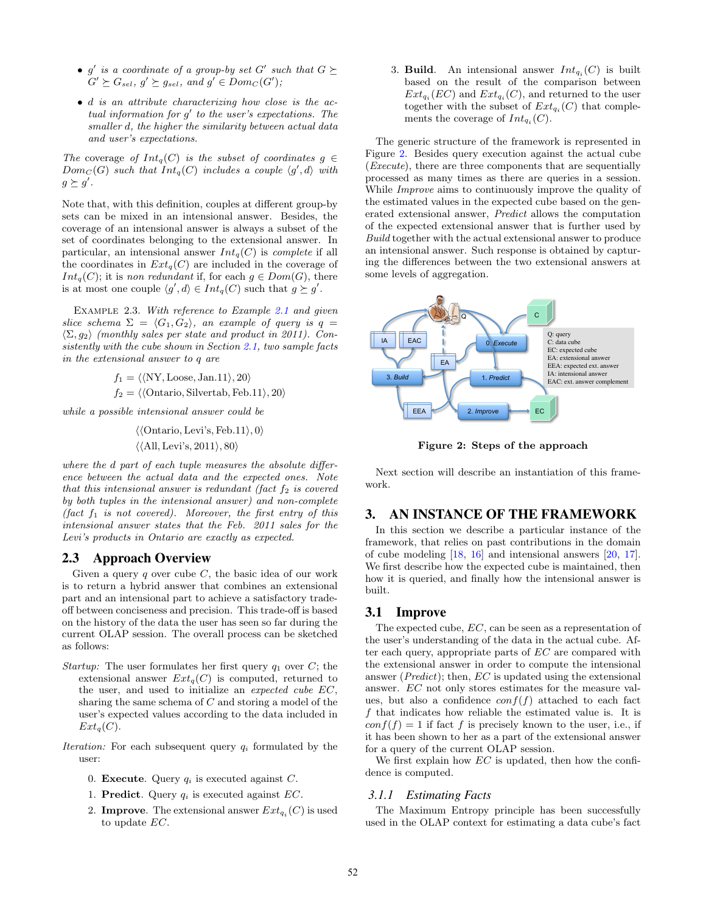- g' is a coordinate of a group-by set G' such that  $G \succeq$  $G' \succeq G_{sel}, g' \succeq g_{sel}, \text{ and } g' \in Dom_C(G');$
- d is an attribute characterizing how close is the actual information for  $g'$  to the user's expectations. The smaller d, the higher the similarity between actual data and user's expectations.

The coverage of  $Int_q(C)$  is the subset of coordinates  $g \in$  $Dom_C(G)$  such that  $Int_q(C)$  includes a couple  $\langle g', d \rangle$  with  $g \succeq g'$ .

Note that, with this definition, couples at different group-by sets can be mixed in an intensional answer. Besides, the coverage of an intensional answer is always a subset of the set of coordinates belonging to the extensional answer. In particular, an intensional answer  $Int_a(C)$  is *complete* if all the coordinates in  $Ext_q(C)$  are included in the coverage of  $Int_a(C)$ ; it is non redundant if, for each  $q \in Dom(G)$ , there is at most one couple  $\langle g', d \rangle \in Int_q(C)$  such that  $g \succeq g'$ .

Example 2.3. With reference to Example [2.1](#page-2-1) and given slice schema  $\Sigma = \langle G_1, G_2 \rangle$ , an example of query is q =  $\langle \Sigma, g_2 \rangle$  (monthly sales per state and product in 2011). Consistently with the cube shown in Section [2.1,](#page-1-2) two sample facts in the extensional answer to q are

$$
f_1 = \langle \langle \text{NY}, \text{Loose}, \text{Jan.11} \rangle, 20 \rangle
$$

$$
f_2 = \langle \langle \text{Ontario}, \text{Silvertab}, \text{Feb.11} \rangle, 20 \rangle
$$

while a possible intensional answer could be

 $\langle\langle \text{Ontario}, \text{Levi's}, \text{Feb.11}\rangle, 0\rangle$  $\langle \langle \text{All}, \text{Levi's}, 2011 \rangle, 80 \rangle$ 

where the d part of each tuple measures the absolute difference between the actual data and the expected ones. Note that this intensional answer is redundant (fact  $f_2$  is covered by both tuples in the intensional answer) and non-complete (fact  $f_1$  is not covered). Moreover, the first entry of this intensional answer states that the Feb. 2011 sales for the Levi's products in Ontario are exactly as expected.

## 2.3 Approach Overview

Given a query q over cube  $C$ , the basic idea of our work is to return a hybrid answer that combines an extensional part and an intensional part to achieve a satisfactory tradeoff between conciseness and precision. This trade-off is based on the history of the data the user has seen so far during the current OLAP session. The overall process can be sketched as follows:

- Startup: The user formulates her first query  $q_1$  over C; the extensional answer  $Ext_q(C)$  is computed, returned to the user, and used to initialize an expected cube EC, sharing the same schema of  $C$  and storing a model of the user's expected values according to the data included in  $Ext_q(C)$ .
- *Iteration:* For each subsequent query  $q_i$  formulated by the user:
	- 0. Execute. Query  $q_i$  is executed against  $C$ .
	- 1. **Predict**. Query  $q_i$  is executed against *EC*.
	- 2. **Improve**. The extensional answer  $Ext_{q_i}(C)$  is used to update EC.

3. **Build.** An intensional answer  $Int_{q_i}(C)$  is built based on the result of the comparison between  $Ext_{q_i}(EC)$  and  $Ext_{q_i}(C)$ , and returned to the user together with the subset of  $Ext_{q_i}(C)$  that complements the coverage of  $Int_{q_i}(C)$ .

The generic structure of the framework is represented in Figure [2.](#page-3-1) Besides query execution against the actual cube (Execute), there are three components that are sequentially processed as many times as there are queries in a session. While Improve aims to continuously improve the quality of the estimated values in the expected cube based on the generated extensional answer, Predict allows the computation of the expected extensional answer that is further used by Build together with the actual extensional answer to produce an intensional answer. Such response is obtained by capturing the differences between the two extensional answers at some levels of aggregation.



<span id="page-3-1"></span>Figure 2: Steps of the approach

Next section will describe an instantiation of this framework.

# <span id="page-3-0"></span>3. AN INSTANCE OF THE FRAMEWORK

In this section we describe a particular instance of the framework, that relies on past contributions in the domain of cube modeling [\[18,](#page-7-7) [16\]](#page-7-8) and intensional answers [\[20,](#page-7-6) [17\]](#page-7-9). We first describe how the expected cube is maintained, then how it is queried, and finally how the intensional answer is built.

#### 3.1 Improve

The expected cube, EC, can be seen as a representation of the user's understanding of the data in the actual cube. After each query, appropriate parts of  $EC$  are compared with the extensional answer in order to compute the intensional answer ( $Predict$ ); then,  $EC$  is updated using the extensional answer. EC not only stores estimates for the measure values, but also a confidence  $conf(f)$  attached to each fact f that indicates how reliable the estimated value is. It is  $conf(f) = 1$  if fact f is precisely known to the user, i.e., if it has been shown to her as a part of the extensional answer for a query of the current OLAP session.

We first explain how  $EC$  is updated, then how the confidence is computed.

#### *3.1.1 Estimating Facts*

The Maximum Entropy principle has been successfully used in the OLAP context for estimating a data cube's fact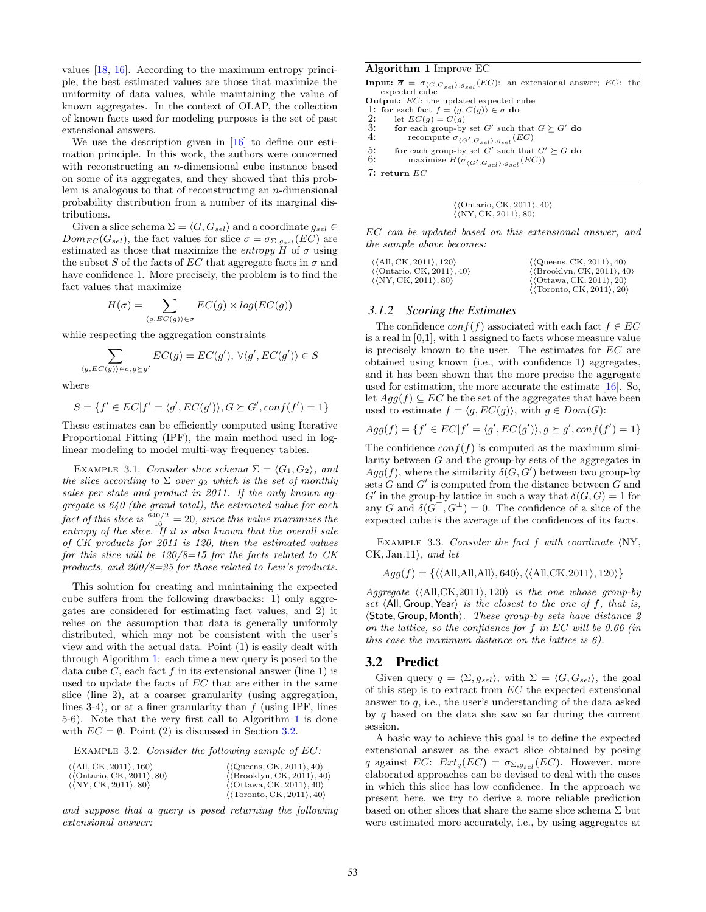values [\[18,](#page-7-7) [16\]](#page-7-8). According to the maximum entropy principle, the best estimated values are those that maximize the uniformity of data values, while maintaining the value of known aggregates. In the context of OLAP, the collection of known facts used for modeling purposes is the set of past extensional answers.

We use the description given in  $[16]$  to define our estimation principle. In this work, the authors were concerned with reconstructing an *n*-dimensional cube instance based on some of its aggregates, and they showed that this problem is analogous to that of reconstructing an  $n$ -dimensional probability distribution from a number of its marginal distributions.

Given a slice schema  $\Sigma = \langle G, G_{sel} \rangle$  and a coordinate  $g_{sel} \in$  $Dom_{EC}(G_{sel})$ , the fact values for slice  $\sigma = \sigma_{\Sigma, g_{sel}}(EC)$  are estimated as those that maximize the *entropy* H of  $\sigma$  using the subset  $S$  of the facts of  $EC$  that aggregate facts in  $\sigma$  and have confidence 1. More precisely, the problem is to find the fact values that maximize

$$
H(\sigma) = \sum_{(g, EC(g)) \in \sigma} EC(g) \times log(EC(g))
$$

while respecting the aggregation constraints

$$
\sum_{(g, EC(g)) \in \sigma, g \succeq g'} EC(g) = EC(g'), \ \forall \langle g', EC(g') \rangle \in S
$$

where

$$
S = \{ f' \in EC | f' = \langle g', EC(g') \rangle, G \succeq G', conf(f') = 1 \}
$$

These estimates can be efficiently computed using Iterative Proportional Fitting (IPF), the main method used in loglinear modeling to model multi-way frequency tables.

EXAMPLE 3.1. Consider slice schema  $\Sigma = \langle G_1, G_2 \rangle$ , and the slice according to  $\Sigma$  over  $g_2$  which is the set of monthly sales per state and product in 2011. If the only known aggregate is 640 (the grand total), the estimated value for each fact of this slice is  $\frac{640/2}{16} = 20$ , since this value maximizes the entropy of the slice. If it is also known that the overall sale of CK products for 2011 is 120, then the estimated values for this slice will be  $120/8=15$  for the facts related to CK products, and 200/8=25 for those related to Levi's products.

This solution for creating and maintaining the expected cube suffers from the following drawbacks: 1) only aggregates are considered for estimating fact values, and 2) it relies on the assumption that data is generally uniformly distributed, which may not be consistent with the user's view and with the actual data. Point (1) is easily dealt with through Algorithm [1:](#page-4-0) each time a new query is posed to the data cube  $C$ , each fact  $f$  in its extensional answer (line 1) is used to update the facts of EC that are either in the same slice (line 2), at a coarser granularity (using aggregation, lines 3-4), or at a finer granularity than  $f$  (using IPF, lines 5-6). Note that the very first call to Algorithm [1](#page-4-0) is done with  $EC = \emptyset$ . Point (2) is discussed in Section [3.2.](#page-4-1)

EXAMPLE 3.2. Consider the following sample of EC:

| $\langle \langle \text{All}, \text{CK}, 2011 \rangle, 160 \rangle$ | $\langle$ (Queens, CK, 2011), 40)                                      |
|--------------------------------------------------------------------|------------------------------------------------------------------------|
| $\langle$ (Ontario, CK, 2011), 80)                                 | $\langle \langle \text{Brooklyn}, \text{CK}, 2011 \rangle, 40 \rangle$ |
| $\langle \langle \text{NY}, \text{CK}, 2011 \rangle, 80 \rangle$   | $\langle$ (Ottawa, CK, 2011), 40)                                      |
|                                                                    | $\langle \langle \text{Toronto}, \text{CK}, 2011 \rangle, 40 \rangle$  |

and suppose that a query is posed returning the following extensional answer:

#### Algorithm 1 Improve EC

<span id="page-4-0"></span>**Input:**  $\overline{\sigma} = \sigma_{\langle G, G_{sel} \rangle, g_{sel}}(EC)$ : an extensional answer; EC: the expected cube

Output: EC: the updated expected cube

- 1: for each fact  $f = \langle g, C(g) \rangle \in \overline{\sigma}$  do<br>2: let  $EC(a) = C(a)$
- 2: let  $EC(g) = C(g)$ <br>3: **for** each group-by

3: for each group-by set G' such that  $G \succeq G'$  do 4: recompute  $\sigma_{\langle G',G_{sel}\rangle,g_{sel}}(EC)$ 

- 5: **for** each group-by set  $G'$  such that  $G' \succeq G$  do
- 6: maximize  $H(\sigma_{\langle G', G_{sel} \rangle, g_{sel}}(EC))$

```
7: return EC
```

$$
\langle \langle \text{Ontario, CK, 2011} \rangle, 40 \rangle \\ \langle \langle \text{NY, CK, 2011} \rangle, 80 \rangle
$$

EC can be updated based on this extensional answer, and the sample above becomes:

| $\langle \langle \text{All}, \text{CK}, 2011 \rangle, 120 \rangle$ | $\langle$ (Queens, CK, 2011), 40)                                      |
|--------------------------------------------------------------------|------------------------------------------------------------------------|
| $\langle$ (Ontario, CK, 2011), 40)                                 | $\langle \langle \text{Brooklyn}, \text{CK}, 2011 \rangle, 40 \rangle$ |
| $\langle \langle \text{NY}, \text{CK}, 2011 \rangle, 80 \rangle$   | $\langle$ (Ottawa, CK, 2011), 20)                                      |
|                                                                    | $\langle \langle \text{Toronto}, \text{CK}, 2011 \rangle, 20 \rangle$  |

#### *3.1.2 Scoring the Estimates*

The confidence  $conf(f)$  associated with each fact  $f \in EC$ is a real in [0,1], with 1 assigned to facts whose measure value is precisely known to the user. The estimates for EC are obtained using known (i.e., with confidence 1) aggregates, and it has been shown that the more precise the aggregate used for estimation, the more accurate the estimate [\[16\]](#page-7-8). So, let  $Agg(f) \subseteq EC$  be the set of the aggregates that have been used to estimate  $f = \langle g, EC(g) \rangle$ , with  $g \in Dom(G)$ :

$$
Agg(f) = \{ f' \in EC | f' = \langle g', EC(g') \rangle, g \succeq g', conf(f') = 1 \}
$$

The confidence  $conf(f)$  is computed as the maximum similarity between G and the group-by sets of the aggregates in  $Agg(f)$ , where the similarity  $\delta(G, G')$  between two group-by sets  $G$  and  $G'$  is computed from the distance between  $G$  and G' in the group-by lattice in such a way that  $\delta(G, G) = 1$  for any G and  $\delta(G^{\top}, G^{\perp}) = 0$ . The confidence of a slice of the expected cube is the average of the confidences of its facts.

EXAMPLE 3.3. Consider the fact  $f$  with coordinate  $\langle \text{NY}, \rangle$  $CK, Jan.11$ , and let

$$
Agg(f) = {\langle \langle \text{All,All,All} \rangle, 640 \rangle, \langle \langle \text{All,CK,2011} \rangle, 120 \rangle }
$$

Aggregate  $\langle \langle \text{All,CK,2011} \rangle$ , 120) is the one whose group-by set  $\langle$  All, Group, Year $\rangle$  is the closest to the one of f, that is,  $\langle$ State, Group, Month $\rangle$ . These group-by sets have distance 2 on the lattice, so the confidence for f in EC will be 0.66 (in this case the maximum distance on the lattice is 6).

#### <span id="page-4-1"></span>3.2 Predict

Given query  $q = \langle \Sigma, g_{sel} \rangle$ , with  $\Sigma = \langle G, G_{sel} \rangle$ , the goal of this step is to extract from EC the expected extensional answer to q, i.e., the user's understanding of the data asked by  $q$  based on the data she saw so far during the current session.

A basic way to achieve this goal is to define the expected extensional answer as the exact slice obtained by posing q against  $EC: Ext_q(EC) = \sigma_{\Sigma, g_{sel}}(EC)$ . However, more elaborated approaches can be devised to deal with the cases in which this slice has low confidence. In the approach we present here, we try to derive a more reliable prediction based on other slices that share the same slice schema  $\Sigma$  but were estimated more accurately, i.e., by using aggregates at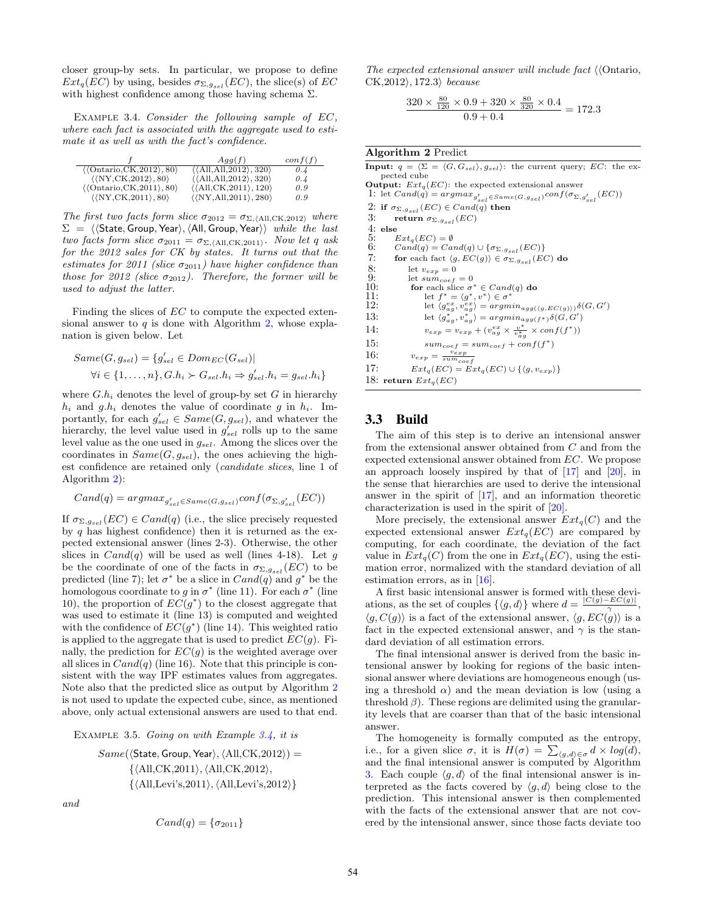closer group-by sets. In particular, we propose to define  $Ext_q(EC)$  by using, besides  $\sigma_{\Sigma,g_{sel}}(EC)$ , the slice(s) of EC with highest confidence among those having schema  $\Sigma$ .

<span id="page-5-1"></span>EXAMPLE 3.4. Consider the following sample of EC, where each fact is associated with the aggregate used to estimate it as well as with the fact's confidence.

|                                                          | Aqa(f)                                                              | $\operatorname{conf}(f)$ |
|----------------------------------------------------------|---------------------------------------------------------------------|--------------------------|
| $\langle$ (Ontario, CK, 2012), 80)                       | $\langle \langle \text{All}, \text{All}, 2012 \rangle, 320 \rangle$ | 0.4                      |
| $\langle \langle \text{NY,CK}, 2012 \rangle, 80 \rangle$ | $\langle \langle \text{All}, \text{All}, 2012 \rangle, 320 \rangle$ | 0.4                      |
| $\langle$ (Ontario, CK, 2011), 80)                       | $\langle \langle \text{All,CK}, 2011 \rangle, 120 \rangle$          | 0.9                      |
| $\langle \langle \text{NY,CK}, 2011 \rangle, 80 \rangle$ | $\langle \langle \text{NY}, \text{All}, 2011 \rangle, 280 \rangle$  | 0.9                      |

The first two facts form slice  $\sigma_{2012} = \sigma_{\Sigma, \text{(All,CK,2012)}}$  where  $\Sigma = \langle\langle$ State, Group, Year $\rangle$ ,  $\langle$ All, Group, Year $\rangle\rangle$  while the last two facts form slice  $\sigma_{2011} = \sigma_{\Sigma, \text{(All,CK,2011)}}$ . Now let q ask for the 2012 sales for CK by states. It turns out that the estimates for 2011 (slice  $\sigma_{2011}$ ) have higher confidence than those for 2012 (slice  $\sigma_{2012}$ ). Therefore, the former will be used to adjust the latter.

Finding the slices of EC to compute the expected extensional answer to  $q$  is done with Algorithm [2,](#page-5-0) whose explanation is given below. Let

$$
Same(G, g_{sel}) = \{g'_{sel} \in Dom_{EC}(G_{sel}) |
$$
  

$$
\forall i \in \{1, ..., n\}, G.h_i \succ G_{sel}.h_i \Rightarrow g'_{sel}.h_i = g_{sel}.h_i\}
$$

where  $G.h_i$  denotes the level of group-by set G in hierarchy  $h_i$  and g.h<sub>i</sub> denotes the value of coordinate g in  $h_i$ . Importantly, for each  $g'_{sel} \in Same(G, g_{sel})$ , and whatever the hierarchy, the level value used in  $g'_{sel}$  rolls up to the same level value as the one used in  $g_{sel}$ . Among the slices over the coordinates in  $Same(G, g_{sel})$ , the ones achieving the highest confidence are retained only (candidate slices, line 1 of Algorithm [2\)](#page-5-0):

$$
Cand(q) = argmax_{g'_{sel} \in Same(G, g_{sel})} conf(\sigma_{\Sigma, g'_{sel}}(EC))
$$

If  $\sigma_{\Sigma,g_{sel}}(EC) \in Cand(q)$  (i.e., the slice precisely requested by  $q$  has highest confidence) then it is returned as the expected extensional answer (lines 2-3). Otherwise, the other slices in  $Cand(q)$  will be used as well (lines 4-18). Let g be the coordinate of one of the facts in  $\sigma_{\Sigma,g_{sel}}(EC)$  to be predicted (line 7); let  $\sigma^*$  be a slice in  $Cand(q)$  and  $g^*$  be the homologous coordinate to g in  $\sigma^*$  (line 11). For each  $\sigma^*$  (line 10), the proportion of  $EC(g^*)$  to the closest aggregate that was used to estimate it (line 13) is computed and weighted with the confidence of  $EC(g^*)$  (line 14). This weighted ratio is applied to the aggregate that is used to predict  $EC(g)$ . Finally, the prediction for  $EC(g)$  is the weighted average over all slices in  $Cand(q)$  (line 16). Note that this principle is consistent with the way IPF estimates values from aggregates. Note also that the predicted slice as output by Algorithm [2](#page-5-0) is not used to update the expected cube, since, as mentioned above, only actual extensional answers are used to that end.

EXAMPLE 3.5. Going on with Example  $3.4$ , it is

$$
Same(\langle State, Group, Year \rangle, \langle All, CK, 2012 \rangle) = \{ \langle All, CK, 2011 \rangle, \langle All, CK, 2012 \rangle, \{ \langle All, Levi's, 2011 \rangle, \langle All, Levi's, 2012 \rangle \}
$$

and

$$
Cand(q) = \{\sigma_{2011}\}\
$$

The expected extensional answer will include fact  $\langle$  (Ontario,  $CK, 2012$ , 172.3) because

$$
\frac{320 \times \frac{80}{120} \times 0.9 + 320 \times \frac{80}{320} \times 0.4}{0.9 + 0.4} = 172.3
$$

Algorithm 2 Predict

 $\circ$ 

<span id="page-5-0"></span>**Input:**  $q = \langle \Sigma = \langle G, G_{\text{sel}} \rangle, g_{\text{sel}} \rangle$ : the current query; EC: the expected cube **Output:**  $Ext_q(EC)$ : the expected extensional answer 1: let  $Cand(\tilde{q}) = argmax_{g'_{sel} \in Same(G, g_{sel})} conf(\sigma_{\Sigma, g'_{sel}}(EC))$ 2: if  $\sigma_{\Sigma,g_{sel}}(EC) \in Cand(q)$  then<br>3: return  $\sigma_{\Sigma,g_{sel}}(EC)$ return  $\sigma_{\Sigma, g_{sel}}(EC)$  $\frac{4}{5}$ : else 5:  $Ext_q(EC) = \emptyset$ <br>6:  $Cand(q) = Ca$ 6:  $Can\hat{d}(q) = Cand(q) \cup {\sigma_{\Sigma,g_{sel}}(EC)}$ <br>7: for each fact  $\langle q, EC(q) \rangle \in \sigma_{\Sigma,g}$ ,  $(EC)$ 7: for each fact  $\langle g, EC(g) \rangle \in \sigma_{\Sigma,g_{sel}}(EC)$  do<br>8: let  $v_{exp} = 0$ 8: let  $v_{exp} = 0$ <br>9: let sum 9: let  $sum_{coef} = 0$ <br>10: **for** each slice  $\sigma^2$ 10: for each slice  $\sigma^* \in Cand(q)$  do 11: let  $f^* = \langle g^*, v^* \rangle \in \sigma^{*^{**}}$ <br>12: let  $\langle g_{ag}^{ex}, v_{ag}^{ex} \rangle = argmin_{agg(\langle g, EC(g) \rangle)} \delta(G, G')$ 13: let  $\langle g_{ag}^*, v_{ag}^* \rangle = argmin_{agg(f^*)}\delta(G, G')$ 14:  $v_{exp} = v_{exp} + (v_{ag}^{ex} \times \frac{v^*}{v_{ag}^*} \times conf(f^*))$ 15:  $sum_{coef} = sum_{coef} + conf(f^*)$ 16:  $v_{exp} = \frac{v_{exp}}{sum_{coef}}$ 17:  $Ext_q(EC) = Ext_q(EC) \cup \{\langle g, v_{exp} \rangle\}$ 18: return  $Ext_a(EC)$ 

## 3.3 Build

The aim of this step is to derive an intensional answer from the extensional answer obtained from C and from the expected extensional answer obtained from EC. We propose an approach loosely inspired by that of [\[17\]](#page-7-9) and [\[20\]](#page-7-6), in the sense that hierarchies are used to derive the intensional answer in the spirit of [\[17\]](#page-7-9), and an information theoretic characterization is used in the spirit of [\[20\]](#page-7-6).

More precisely, the extensional answer  $Ext_a(C)$  and the expected extensional answer  $Ext_a(EC)$  are compared by computing, for each coordinate, the deviation of the fact value in  $Ext_a(C)$  from the one in  $Ext_a(EC)$ , using the estimation error, normalized with the standard deviation of all estimation errors, as in [\[16\]](#page-7-8).

A first basic intensional answer is formed with these deviations, as the set of couples  $\{\langle g, d \rangle\}$  where  $d = \frac{|C(g) - EC(g)|}{\gamma},$  $\langle g, C(g) \rangle$  is a fact of the extensional answer,  $\langle g, EC(g) \rangle$  is a fact in the expected extensional answer, and  $\gamma$  is the standard deviation of all estimation errors.

The final intensional answer is derived from the basic intensional answer by looking for regions of the basic intensional answer where deviations are homogeneous enough (using a threshold  $\alpha$ ) and the mean deviation is low (using a threshold  $\beta$ ). These regions are delimited using the granularity levels that are coarser than that of the basic intensional answer.

The homogeneity is formally computed as the entropy, i.e., for a given slice  $\sigma$ , it is  $H(\sigma) = \sum_{\langle g,d \rangle \in \sigma} d \times log(d)$ , and the final intensional answer is computed by Algorithm [3.](#page-6-1) Each couple  $\langle q, d \rangle$  of the final intensional answer is interpreted as the facts covered by  $\langle q, d \rangle$  being close to the prediction. This intensional answer is then complemented with the facts of the extensional answer that are not covered by the intensional answer, since those facts deviate too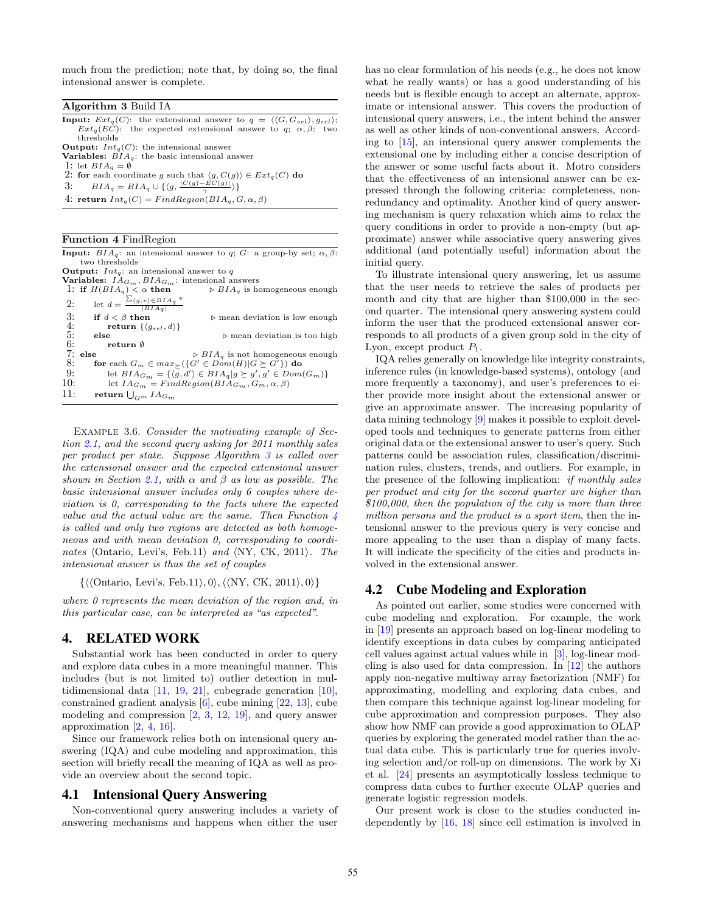much from the prediction; note that, by doing so, the final intensional answer is complete.

Algorithm 3 Build IA

<span id="page-6-1"></span>**Input:**  $Ext_q(C)$ : the extensional answer to  $q = \langle \langle G, G_{sel} \rangle, g_{sel} \rangle;$  $Ext_q(EC)$ : the expected extensional answer to q;  $\alpha, \beta$ : two thresholds **Output:**  $Int_q(C)$ : the intensional answer Variables:  $\widehat{BIA}_q$ : the basic intensional answer 1: let  $BIA_q = \emptyset$ 2: for each coordinate g such that  $\langle g, C(g) \rangle \in Ext_q(C)$  do 3:  $BIA_q = BIA_q \cup \{\langle g, \frac{|C(g) - EC(g)|}{\gamma} \rangle\}$ 4: return  $Int_q(C) = FindRegion(BIA_q, G, \alpha, \beta)$ 

#### Function 4 FindRegion

<span id="page-6-2"></span>

| <b>Input:</b> $BIAq$ : an intensional answer to q; G: a group-by set; $\alpha, \beta$ :       |
|-----------------------------------------------------------------------------------------------|
| two thresholds                                                                                |
| <b>Output:</b> $Int_q$ : an intensional answer to q                                           |
| <b>Variables:</b> $IA_{G_m}$ , $BIA_{G_m}$ : intensional answers                              |
| 1: if $H(BIAq) < \alpha$ then<br>$\triangleright BIA_a$ is homogeneous enough                 |
| let $d = \frac{\sum_{\langle g, v \rangle \in BIA_q} v}{ BIA_q }$<br>2:                       |
| 3:<br>if $d < \beta$ then<br>$\triangleright$ mean deviation is low enough                    |
| $rac{4}{5}$<br>return $\{\langle q_{sel}, d \rangle\}$                                        |
| else<br>$\triangleright$ mean deviation is too high                                           |
| 6:<br>$return \emptyset$                                                                      |
| $7:$ else<br>$\triangleright BIAq$ is not homogeneous enough                                  |
| 8:<br>for each $G_m \in max_{\succ} (\{G' \in Dom(H)   G \succ G'\})$ do                      |
| 9:<br>let $BIA_{G_m} = \{ \langle g, d' \rangle \in BIA_q   g \succeq g', g' \in Dom(G_m) \}$ |
| 10:<br>let $IA_{G_m} = FindRegion(BIA_{G_m}, G_m, \alpha, \beta)$                             |
| 11:<br>return $\bigcup_{G^m} IA_{G_m}$                                                        |

Example 3.6. Consider the motivating example of Section [2.1,](#page-1-2) and the second query asking for 2011 monthly sales per product per state. Suppose Algorithm [3](#page-6-1) is called over the extensional answer and the expected extensional answer shown in Section [2.1,](#page-1-2) with  $\alpha$  and  $\beta$  as low as possible. The basic intensional answer includes only 6 couples where deviation is 0, corresponding to the facts where the expected value and the actual value are the same. Then Function [4](#page-6-2) is called and only two regions are detected as both homogeneous and with mean deviation 0, corresponding to coordinates (Ontario, Levi's, Feb.11) and  $\langle$ NY, CK, 2011). The intensional answer is thus the set of couples

 $\{\langle\langle \text{Ontario}, \text{Levi's}, \text{Feb.11}\rangle, 0\rangle, \langle\langle \text{NY}, \text{CK}, 2011\rangle, 0\rangle\}$ 

where 0 represents the mean deviation of the region and, in this particular case, can be interpreted as "as expected".

## <span id="page-6-0"></span>4. RELATED WORK

Substantial work has been conducted in order to query and explore data cubes in a more meaningful manner. This includes (but is not limited to) outlier detection in multidimensional data  $[11, 19, 21]$  $[11, 19, 21]$  $[11, 19, 21]$  $[11, 19, 21]$  $[11, 19, 21]$ , cubegrade generation  $[10]$ , constrained gradient analysis [\[6\]](#page-7-14), cube mining [\[22,](#page-7-15) [13\]](#page-7-16), cube modeling and compression [\[2,](#page-7-17) [3,](#page-7-18) [12,](#page-7-19) [19\]](#page-7-11), and query answer approximation [\[2,](#page-7-17) [4,](#page-7-20) [16\]](#page-7-8).

Since our framework relies both on intensional query answering (IQA) and cube modeling and approximation, this section will briefly recall the meaning of IQA as well as provide an overview about the second topic.

#### 4.1 Intensional Query Answering

Non-conventional query answering includes a variety of answering mechanisms and happens when either the user

has no clear formulation of his needs (e.g., he does not know what he really wants) or has a good understanding of his needs but is flexible enough to accept an alternate, approximate or intensional answer. This covers the production of intensional query answers, i.e., the intent behind the answer as well as other kinds of non-conventional answers. According to [\[15\]](#page-7-21), an intensional query answer complements the extensional one by including either a concise description of the answer or some useful facts about it. Motro considers that the effectiveness of an intensional answer can be expressed through the following criteria: completeness, nonredundancy and optimality. Another kind of query answering mechanism is query relaxation which aims to relax the query conditions in order to provide a non-empty (but approximate) answer while associative query answering gives additional (and potentially useful) information about the initial query.

To illustrate intensional query answering, let us assume that the user needs to retrieve the sales of products per month and city that are higher than \$100,000 in the second quarter. The intensional query answering system could inform the user that the produced extensional answer corresponds to all products of a given group sold in the city of Lyon, except product  $P_1$ .

IQA relies generally on knowledge like integrity constraints, inference rules (in knowledge-based systems), ontology (and more frequently a taxonomy), and user's preferences to either provide more insight about the extensional answer or give an approximate answer. The increasing popularity of data mining technology [\[9\]](#page-7-22) makes it possible to exploit developed tools and techniques to generate patterns from either original data or the extensional answer to user's query. Such patterns could be association rules, classification/discrimination rules, clusters, trends, and outliers. For example, in the presence of the following implication: if monthly sales per product and city for the second quarter are higher than \$100,000, then the population of the city is more than three million persons and the product is a sport item, then the intensional answer to the previous query is very concise and more appealing to the user than a display of many facts. It will indicate the specificity of the cities and products involved in the extensional answer.

## 4.2 Cube Modeling and Exploration

As pointed out earlier, some studies were concerned with cube modeling and exploration. For example, the work in [\[19\]](#page-7-11) presents an approach based on log-linear modeling to identify exceptions in data cubes by comparing anticipated cell values against actual values while in [\[3\]](#page-7-18), log-linear modeling is also used for data compression. In [\[12\]](#page-7-19) the authors apply non-negative multiway array factorization (NMF) for approximating, modelling and exploring data cubes, and then compare this technique against log-linear modeling for cube approximation and compression purposes. They also show how NMF can provide a good approximation to OLAP queries by exploring the generated model rather than the actual data cube. This is particularly true for queries involving selection and/or roll-up on dimensions. The work by Xi et al. [\[24\]](#page-7-23) presents an asymptotically lossless technique to compress data cubes to further execute OLAP queries and generate logistic regression models.

Our present work is close to the studies conducted independently by [\[16,](#page-7-8) [18\]](#page-7-7) since cell estimation is involved in